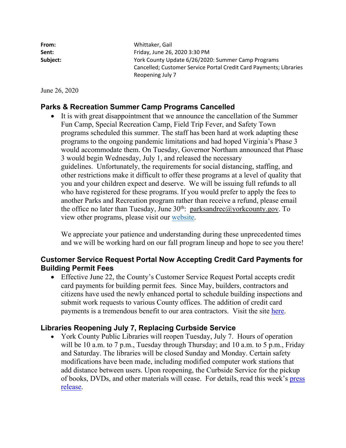| From:    | Whittaker, Gail                                                    |
|----------|--------------------------------------------------------------------|
| Sent:    | Friday, June 26, 2020 3:30 PM                                      |
| Subject: | York County Update 6/26/2020: Summer Camp Programs                 |
|          | Cancelled; Customer Service Portal Credit Card Payments; Libraries |
|          | Reopening July 7                                                   |

June 26, 2020

## **Parks & Recreation Summer Camp Programs Cancelled**

 It is with great disappointment that we announce the cancellation of the Summer Fun Camp, Special Recreation Camp, Field Trip Fever, and Safety Town programs scheduled this summer. The staff has been hard at work adapting these programs to the ongoing pandemic limitations and had hoped Virginia's Phase 3 would accommodate them. On Tuesday, Governor Northam announced that Phase 3 would begin Wednesday, July 1, and released the necessary guidelines. Unfortunately, the requirements for social distancing, staffing, and other restrictions make it difficult to offer these programs at a level of quality that you and your children expect and deserve. We will be issuing full refunds to all who have registered for these programs. If you would prefer to apply the fees to another Parks and Recreation program rather than receive a refund, please email the office no later than Tuesday, June  $30<sup>th</sup>$ : [parksandrec@yorkcounty.gov](mailto:parksandrec@yorkcounty.gov). To view other programs, please visit our website.

We appreciate your patience and understanding during these unprecedented times and we will be working hard on our fall program lineup and hope to see you there!

## **Customer Service Request Portal Now Accepting Credit Card Payments for Building Permit Fees**

 Effective June 22, the County's Customer Service Request Portal accepts credit card payments for building permit fees. Since May, builders, contractors and citizens have used the newly enhanced portal to schedule building inspections and submit work requests to various County offices. The addition of credit card payments is a tremendous benefit to our area contractors. Visit the site here.

## **Libraries Reopening July 7, Replacing Curbside Service**

• York County Public Libraries will reopen Tuesday, July 7. Hours of operation will be 10 a.m. to 7 p.m., Tuesday through Thursday; and 10 a.m. to 5 p.m., Friday and Saturday. The libraries will be closed Sunday and Monday. Certain safety modifications have been made, including modified computer work stations that add distance between users. Upon reopening, the Curbside Service for the pickup of books, DVDs, and other materials will cease. For details, read this week's press release.